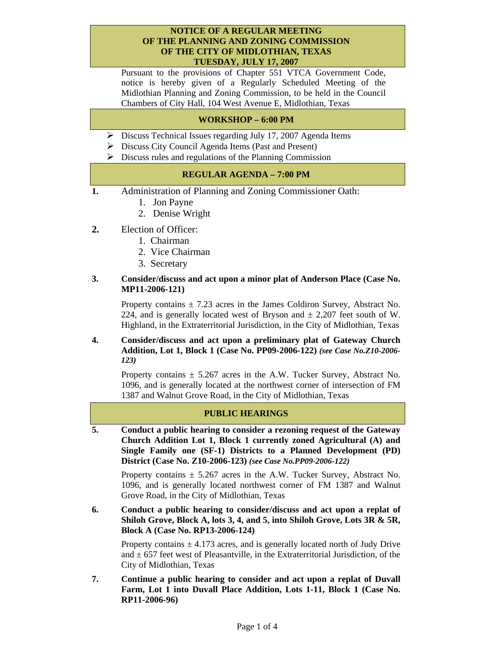#### **NOTICE OF A REGULAR MEETING OF THE PLANNING AND ZONING COMMISSION OF THE CITY OF MIDLOTHIAN, TEXAS TUESDAY, JULY 17, 2007**

Pursuant to the provisions of Chapter 551 VTCA Government Code, notice is hereby given of a Regularly Scheduled Meeting of the Midlothian Planning and Zoning Commission, to be held in the Council Chambers of City Hall, 104 West Avenue E, Midlothian, Texas

# **WORKSHOP – 6:00 PM**

- ¾ Discuss Technical Issues regarding July 17, 2007 Agenda Items
- $\triangleright$  Discuss City Council Agenda Items (Past and Present)
- $\triangleright$  Discuss rules and regulations of the Planning Commission

# **REGULAR AGENDA – 7:00 PM**

- **1.** Administration of Planning and Zoning Commissioner Oath:
	- 1. Jon Payne
	- 2. Denise Wright
- **2.** Election of Officer:
	- 1. Chairman
	- 2. Vice Chairman
	- 3. Secretary

### **3. Consider/discuss and act upon a minor plat of Anderson Place (Case No. MP11-2006-121)**

Property contains  $\pm$  7.23 acres in the James Coldiron Survey, Abstract No. 224, and is generally located west of Bryson and  $\pm$  2,207 feet south of W. Highland, in the Extraterritorial Jurisdiction, in the City of Midlothian, Texas

#### **4. Consider/discuss and act upon a preliminary plat of Gateway Church Addition, Lot 1, Block 1 (Case No. PP09-2006-122)** *(see Case No.Z10-2006- 123)*

Property contains  $\pm$  5.267 acres in the A.W. Tucker Survey, Abstract No. 1096, and is generally located at the northwest corner of intersection of FM 1387 and Walnut Grove Road, in the City of Midlothian, Texas

### **PUBLIC HEARINGS**

**5. Conduct a public hearing to consider a rezoning request of the Gateway Church Addition Lot 1, Block 1 currently zoned Agricultural (A) and Single Family one (SF-1) Districts to a Planned Development (PD) District (Case No. Z10-2006-123)** *(see Case No.PP09-2006-122)*

Property contains  $\pm$  5.267 acres in the A.W. Tucker Survey, Abstract No. 1096, and is generally located northwest corner of FM 1387 and Walnut Grove Road, in the City of Midlothian, Texas

**6. Conduct a public hearing to consider/discuss and act upon a replat of Shiloh Grove, Block A, lots 3, 4, and 5, into Shiloh Grove, Lots 3R & 5R, Block A (Case No. RP13-2006-124)** 

Property contains  $\pm$  4.173 acres, and is generally located north of Judy Drive and  $\pm$  657 feet west of Pleasantville, in the Extraterritorial Jurisdiction, of the City of Midlothian, Texas

**7. Continue a public hearing to consider and act upon a replat of Duvall Farm, Lot 1 into Duvall Place Addition, Lots 1-11, Block 1 (Case No. RP11-2006-96)**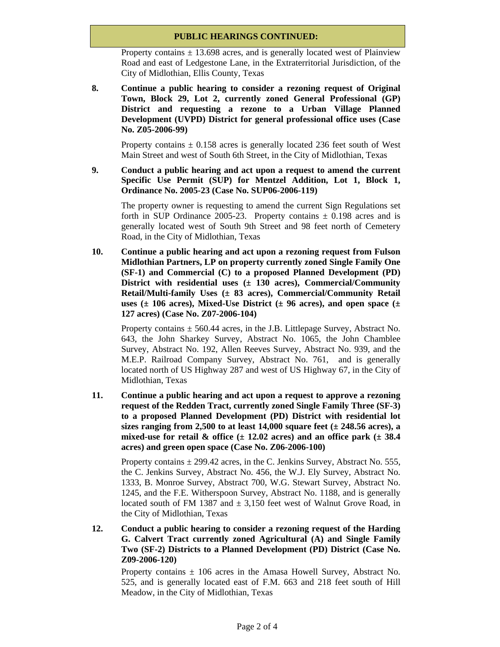# **PUBLIC HEARINGS CONTINUED:**

Property contains  $\pm$  13.698 acres, and is generally located west of Plainview Road and east of Ledgestone Lane, in the Extraterritorial Jurisdiction, of the City of Midlothian, Ellis County, Texas

**8. Continue a public hearing to consider a rezoning request of Original Town, Block 29, Lot 2, currently zoned General Professional (GP) District and requesting a rezone to a Urban Village Planned Development (UVPD) District for general professional office uses (Case No. Z05-2006-99)** 

Property contains  $\pm$  0.158 acres is generally located 236 feet south of West Main Street and west of South 6th Street, in the City of Midlothian, Texas

**9. Conduct a public hearing and act upon a request to amend the current Specific Use Permit (SUP) for Mentzel Addition, Lot 1, Block 1, Ordinance No. 2005-23 (Case No. SUP06-2006-119)** 

The property owner is requesting to amend the current Sign Regulations set forth in SUP Ordinance 2005-23. Property contains  $\pm$  0.198 acres and is generally located west of South 9th Street and 98 feet north of Cemetery Road, in the City of Midlothian, Texas

**10. Continue a public hearing and act upon a rezoning request from Fulson Midlothian Partners, LP on property currently zoned Single Family One (SF-1) and Commercial (C) to a proposed Planned Development (PD) District with residential uses (± 130 acres), Commercial/Community Retail/Multi-family Uses (± 83 acres), Commercial/Community Retail**  uses ( $\pm$  106 acres), Mixed-Use District ( $\pm$  96 acres), and open space ( $\pm$ **127 acres) (Case No. Z07-2006-104)** 

Property contains  $\pm$  560.44 acres, in the J.B. Littlepage Survey, Abstract No. 643, the John Sharkey Survey, Abstract No. 1065, the John Chamblee Survey, Abstract No. 192, Allen Reeves Survey, Abstract No. 939, and the M.E.P. Railroad Company Survey, Abstract No. 761, and is generally located north of US Highway 287 and west of US Highway 67, in the City of Midlothian, Texas

**11. Continue a public hearing and act upon a request to approve a rezoning request of the Redden Tract, currently zoned Single Family Three (SF-3) to a proposed Planned Development (PD) District with residential lot**  sizes ranging from 2,500 to at least  $14,000$  square feet  $(\pm 248.56$  acres), a **mixed-use for retail & office (± 12.02 acres) and an office park (± 38.4 acres) and green open space (Case No. Z06-2006-100)** 

Property contains  $\pm$  299.42 acres, in the C. Jenkins Survey, Abstract No. 555, the C. Jenkins Survey, Abstract No. 456, the W.J. Ely Survey, Abstract No. 1333, B. Monroe Survey, Abstract 700, W.G. Stewart Survey, Abstract No. 1245, and the F.E. Witherspoon Survey, Abstract No. 1188, and is generally located south of FM 1387 and  $\pm 3,150$  feet west of Walnut Grove Road, in the City of Midlothian, Texas

**12. Conduct a public hearing to consider a rezoning request of the Harding G. Calvert Tract currently zoned Agricultural (A) and Single Family Two (SF-2) Districts to a Planned Development (PD) District (Case No. Z09-2006-120)** 

Property contains  $\pm$  106 acres in the Amasa Howell Survey, Abstract No. 525, and is generally located east of F.M. 663 and 218 feet south of Hill Meadow, in the City of Midlothian, Texas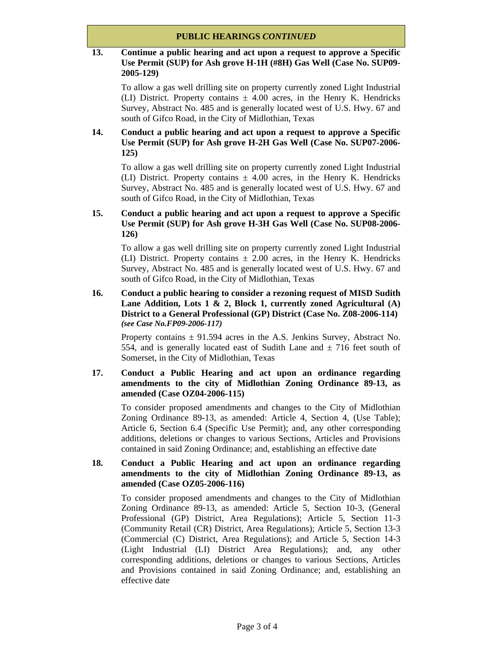## **13. Continue a public hearing and act upon a request to approve a Specific Use Permit (SUP) for Ash grove H-1H (#8H) Gas Well (Case No. SUP09- 2005-129)**

To allow a gas well drilling site on property currently zoned Light Industrial (LI) District. Property contains  $\pm$  4.00 acres, in the Henry K. Hendricks Survey, Abstract No. 485 and is generally located west of U.S. Hwy. 67 and south of Gifco Road, in the City of Midlothian, Texas

# **14. Conduct a public hearing and act upon a request to approve a Specific Use Permit (SUP) for Ash grove H-2H Gas Well (Case No. SUP07-2006- 125)**

To allow a gas well drilling site on property currently zoned Light Industrial (LI) District. Property contains  $\pm$  4.00 acres, in the Henry K. Hendricks Survey, Abstract No. 485 and is generally located west of U.S. Hwy. 67 and south of Gifco Road, in the City of Midlothian, Texas

# **15. Conduct a public hearing and act upon a request to approve a Specific Use Permit (SUP) for Ash grove H-3H Gas Well (Case No. SUP08-2006- 126)**

To allow a gas well drilling site on property currently zoned Light Industrial (LI) District. Property contains  $\pm$  2.00 acres, in the Henry K. Hendricks Survey, Abstract No. 485 and is generally located west of U.S. Hwy. 67 and south of Gifco Road, in the City of Midlothian, Texas

# **16. Conduct a public hearing to consider a rezoning request of MISD Sudith Lane Addition, Lots 1 & 2, Block 1, currently zoned Agricultural (A) District to a General Professional (GP) District (Case No. Z08-2006-114)**  *(see Case No.FP09-2006-117)*

Property contains  $\pm$  91.594 acres in the A.S. Jenkins Survey, Abstract No. 554, and is generally located east of Sudith Lane and  $\pm$  716 feet south of Somerset, in the City of Midlothian, Texas

## **17. Conduct a Public Hearing and act upon an ordinance regarding amendments to the city of Midlothian Zoning Ordinance 89-13, as amended (Case OZ04-2006-115)**

To consider proposed amendments and changes to the City of Midlothian Zoning Ordinance 89-13, as amended: Article 4, Section 4, (Use Table); Article 6, Section 6.4 (Specific Use Permit); and, any other corresponding additions, deletions or changes to various Sections, Articles and Provisions contained in said Zoning Ordinance; and, establishing an effective date

### **18. Conduct a Public Hearing and act upon an ordinance regarding amendments to the city of Midlothian Zoning Ordinance 89-13, as amended (Case OZ05-2006-116)**

To consider proposed amendments and changes to the City of Midlothian Zoning Ordinance 89-13, as amended: Article 5, Section 10-3, (General Professional (GP) District, Area Regulations); Article 5, Section 11-3 (Community Retail (CR) District, Area Regulations); Article 5, Section 13-3 (Commercial (C) District, Area Regulations); and Article 5, Section 14-3 (Light Industrial (LI) District Area Regulations); and, any other corresponding additions, deletions or changes to various Sections, Articles and Provisions contained in said Zoning Ordinance; and, establishing an effective date